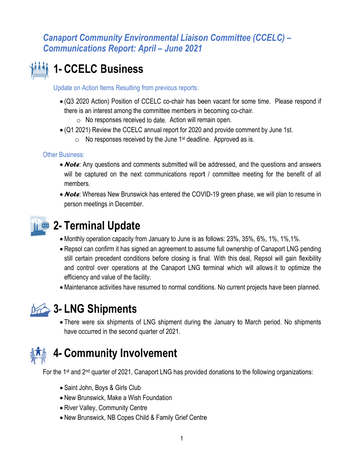# 1- CCELC Business

Update on Action Items Resulting from previous reports:

- (Q3 2020 Action) Position of CCELC co-chair has been vacant for some time. Please respond if there is an interest among the committee members in becoming co-chair.
	- $\circ$  No responses received to date. Action will remain open.
- $\bullet$  (Q1 2021) Review the CCELC annual report for 2020 and provide comment by June 1st.
	- $\circ$  No responses received by the June 1<sup>st</sup> deadline. Approved as is.

#### **Other Business:**

- *Note*: Any questions and comments submitted will be addressed, and the questions and answers will be captured on the next communications report / committee meeting for the benefit of all members.
- *Note*: Whereas New Brunswick has entered the COVID-19 green phase, we will plan to resume in person meetings in December.



## 2- Terminal Update

- Monthly operation capacity from January to June is as follows: 23%, 35%, 6%, 1%, 1%, 1%.
- Repsol can confirm it has signed an agreement to assume full ownership of Canaport LNG pending still certain precedent conditions before closing is final. With this deal, Repsol will gain flexibility and control over operations at the Canaport LNG terminal which will allows it to optimize the efficiency and value of the facility.
- Maintenance activities have resumed to normal conditions. No current projects have been planned.



## 3- LNG Shipments

• There were six shipments of LNG shipment during the January to March period. No shipments have occurred in the second quarter of 2021.



# **4- Community Involvement**

For the 1<sup>st</sup> and 2<sup>nd</sup> quarter of 2021, Canaport LNG has provided donations to the following organizations:

- Saint John, Boys & Girls Club
- New Brunswick, Make a Wish Foundation
- River Valley, Community Centre
- New Brunswick, NB Copes Child & Family Grief Centre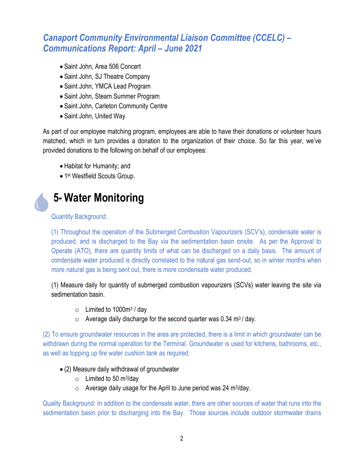- Saint John, Area 506 Concert
- Saint John, SJ Theatre Company
- Saint John, YMCA Lead Program
- Saint John, Steam Summer Program
- Saint John, Carleton Community Centre
- Saint John, United Way

As part of our employee matching program, employees are able to have their donations or volunteer hours matched, which in turn provides a donation to the organization of their choice. So far this year, we've provided donations to the following on behalf of our employees:

- Habitat for Humanity; and
- 1<sup>st</sup> Westfield Scouts Group.

# **5- Water Monitoring**

#### **Quantity Background:**

(1) Throughout the operation of the Submerged Combustion Vapourizers (SCV's), condensate water is produced, and is discharged to the Bay via the sedimentation basin onsite. As per the Approval to Operate (ATO), there are quantity limits of what can be discharged on a daily basis. The amount of condensate water produced is directly correlated to the natural gas send-out, so in winter months when more natural gas is being sent out, there is more condensate water produced.

(1) Measure daily for quantity of submerged combustion vapourizers (SCVs) water leaving the site via sedimentation basin.

- $\circ$  Limited to 1000 $\mathrm{m}^3$  / day
- $\circ$  Average daily discharge for the second quarter was 0.34 m<sup>3</sup>/day.

(2) To ensure groundwater resources in the area are protected, there is a limit in which groundwater can be withdrawn during the normal operation for the Terminal. Groundwater is used for kitchens, bathrooms, etc., as well as topping up fire water cushion tank as required.

- (2) Measure daily withdrawal of groundwater
	- $\circ$  Limited to 50 m<sup>3</sup>/day
	- $\circ$  Average daily usage for the April to June period was 24 m<sup>3</sup>/day.

Quality Background: In addition to the condensate water, there are other sources of water that runs into the sedimentation basin prior to discharging into the Bay. Those sources include outdoor stormwater drains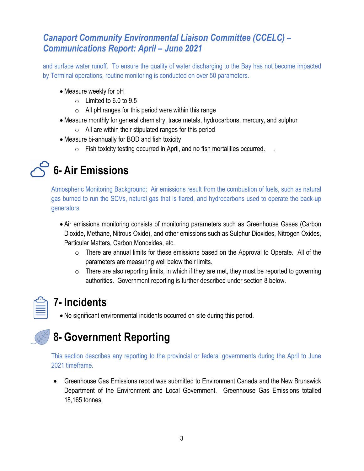and surface water runoff. To ensure the quality of water discharging to the Bay has not become impacted by Terminal operations, routine monitoring is conducted on over 50 parameters.

- Measure weekly for pH
	- $\circ$  Limited to 6.0 to 9.5
	- $\circ$  All pH ranges for this period were within this range
- Measure monthly for general chemistry, trace metals, hydrocarbons, mercury, and sulphur
	- $\circ$  All are within their stipulated ranges for this period
- Measure bi-annually for BOD and fish toxicity
	- $\circ$  Fish toxicity testing occurred in April, and no fish mortalities occurred.



Atmospheric Monitoring Background: Air emissions result from the combustion of fuels, such as natural gas burned to run the SCVs, natural gas that is flared, and hydrocarbons used to operate the back-up generators.

- Air emissions monitoring consists of monitoring parameters such as Greenhouse Gases (Carbon Dioxide, Methane, Nitrous Oxide), and other emissions such as Sulphur Dioxides, Nitrogen Oxides, Particular Matters, Carbon Monoxides, etc.
	- $\circ$  There are annual limits for these emissions based on the Approval to Operate. All of the parameters are measuring well below their limits.
	- $\circ$  There are also reporting limits, in which if they are met, they must be reported to governing authorities. Government reporting is further described under section 8 below.

| N. |  |
|----|--|

## **7-Incidents**

• No significant environmental incidents occurred on site during this period.



This section describes any reporting to the provincial or federal governments during the April to June 2021 timeframe.

• Greenhouse Gas Emissions report was submitted to Environment Canada and the New Brunswick Department of the Environment and Local Government. Greenhouse Gas Emissions totalled 18.165 tonnes.